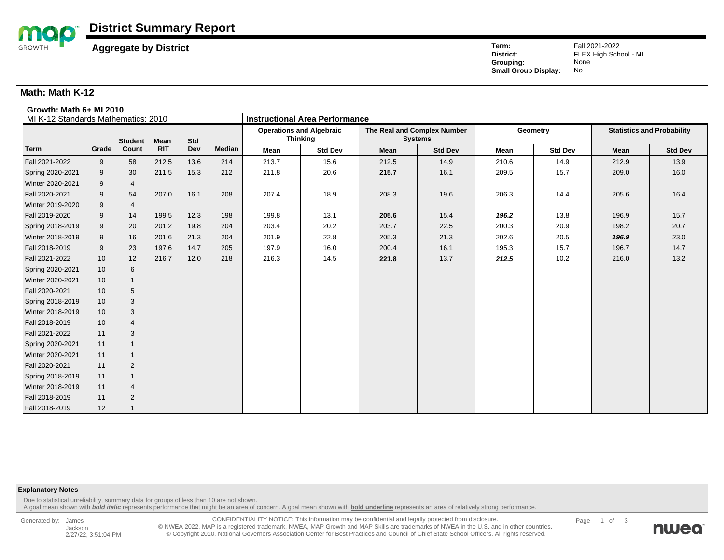

**Aggregate by District** Fall 2021-2022<br> **Aggregate by District** FLEX High Schultz External Aggregate of the FLEX High Schultz External Aggregate FLEX High Schultz **Grouping:** Nor<br> **Small Group Display:** No **Small Group Display:** 

FLEX High School - MI<br>None

### **Math: Math K-12**

#### **Growth: Math 6+ MI 2010**

| MI K-12 Standards Mathematics: 2010 |       |                |             |      |               | <b>Instructional Area Performance</b>              |                |                                               |                |       |                |                                   |                |  |
|-------------------------------------|-------|----------------|-------------|------|---------------|----------------------------------------------------|----------------|-----------------------------------------------|----------------|-------|----------------|-----------------------------------|----------------|--|
|                                     |       | <b>Student</b> | <b>Mean</b> | Std  |               | <b>Operations and Algebraic</b><br><b>Thinking</b> |                | The Real and Complex Number<br><b>Systems</b> |                |       | Geometry       | <b>Statistics and Probability</b> |                |  |
| <b>Term</b>                         | Grade | Count          | <b>RIT</b>  | Dev  | <b>Median</b> | Mean                                               | <b>Std Dev</b> | Mean                                          | <b>Std Dev</b> | Mean  | <b>Std Dev</b> | Mean                              | <b>Std Dev</b> |  |
| Fall 2021-2022                      | 9     | 58             | 212.5       | 13.6 | 214           | 213.7                                              | 15.6           | 212.5                                         | 14.9           | 210.6 | 14.9           | 212.9                             | 13.9           |  |
| Spring 2020-2021                    | 9     | 30             | 211.5       | 15.3 | 212           | 211.8                                              | 20.6           | 215.7                                         | 16.1           | 209.5 | 15.7           | 209.0                             | 16.0           |  |
| Winter 2020-2021                    | 9     | 4              |             |      |               |                                                    |                |                                               |                |       |                |                                   |                |  |
| Fall 2020-2021                      | 9     | 54             | 207.0       | 16.1 | 208           | 207.4                                              | 18.9           | 208.3                                         | 19.6           | 206.3 | 14.4           | 205.6                             | 16.4           |  |
| Winter 2019-2020                    | 9     | 4              |             |      |               |                                                    |                |                                               |                |       |                |                                   |                |  |
| Fall 2019-2020                      | 9     | 14             | 199.5       | 12.3 | 198           | 199.8                                              | 13.1           | 205.6                                         | 15.4           | 196.2 | 13.8           | 196.9                             | 15.7           |  |
| Spring 2018-2019                    | 9     | 20             | 201.2       | 19.8 | 204           | 203.4                                              | 20.2           | 203.7                                         | 22.5           | 200.3 | 20.9           | 198.2                             | 20.7           |  |
| Winter 2018-2019                    | 9     | 16             | 201.6       | 21.3 | 204           | 201.9                                              | 22.8           | 205.3                                         | 21.3           | 202.6 | 20.5           | 196.9                             | 23.0           |  |
| Fall 2018-2019                      | 9     | 23             | 197.6       | 14.7 | 205           | 197.9                                              | 16.0           | 200.4                                         | 16.1           | 195.3 | 15.7           | 196.7                             | 14.7           |  |
| Fall 2021-2022                      | 10    | 12             | 216.7       | 12.0 | 218           | 216.3                                              | 14.5           | 221.8                                         | 13.7           | 212.5 | 10.2           | 216.0                             | 13.2           |  |
| Spring 2020-2021                    | 10    | 6              |             |      |               |                                                    |                |                                               |                |       |                |                                   |                |  |
| Winter 2020-2021                    | 10    | $\mathbf{1}$   |             |      |               |                                                    |                |                                               |                |       |                |                                   |                |  |
| Fall 2020-2021                      | 10    | 5              |             |      |               |                                                    |                |                                               |                |       |                |                                   |                |  |
| Spring 2018-2019                    | 10    | 3              |             |      |               |                                                    |                |                                               |                |       |                |                                   |                |  |
| Winter 2018-2019                    | 10    | $\sqrt{3}$     |             |      |               |                                                    |                |                                               |                |       |                |                                   |                |  |
| Fall 2018-2019                      | 10    | $\overline{4}$ |             |      |               |                                                    |                |                                               |                |       |                |                                   |                |  |
| Fall 2021-2022                      | 11    | 3              |             |      |               |                                                    |                |                                               |                |       |                |                                   |                |  |
| Spring 2020-2021                    | 11    | $\overline{1}$ |             |      |               |                                                    |                |                                               |                |       |                |                                   |                |  |
| Winter 2020-2021                    | 11    |                |             |      |               |                                                    |                |                                               |                |       |                |                                   |                |  |
| Fall 2020-2021                      | 11    | 2              |             |      |               |                                                    |                |                                               |                |       |                |                                   |                |  |
| Spring 2018-2019                    | 11    | $\overline{1}$ |             |      |               |                                                    |                |                                               |                |       |                |                                   |                |  |
| Winter 2018-2019                    | 11    | $\overline{4}$ |             |      |               |                                                    |                |                                               |                |       |                |                                   |                |  |
| Fall 2018-2019                      | 11    | $\overline{2}$ |             |      |               |                                                    |                |                                               |                |       |                |                                   |                |  |
| Fall 2018-2019                      | 12    |                |             |      |               |                                                    |                |                                               |                |       |                |                                   |                |  |

#### **Explanatory Notes**

Due to statistical unreliability, summary data for groups of less than 10 are not shown.

A goal mean shown with **bold italic** represents performance that might be an area of concern. A goal mean shown with **bold underline** represents an area of relatively strong performance.

Generated by: James Jackson 2/27/22, 3:51:04 PM

CONFIDENTIALITY NOTICE: This information may be confidential and legally protected from disclosure. © NWEA 2022. MAP is a registered trademark. NWEA, MAP Growth and MAP Skills are trademarks of NWEA in the U.S. and in other countries. © Copyright 2010. National Governors Association Center for Best Practices and Council of Chief State School Officers. All rights reserved.

Page 1 of 3

nweo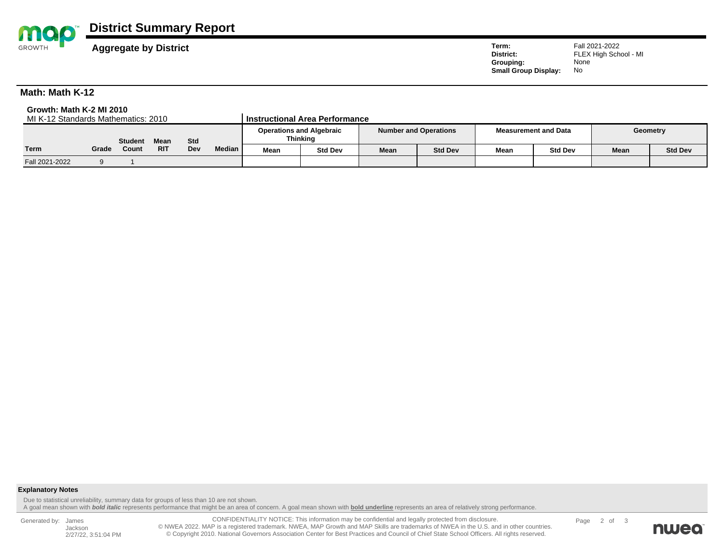

# **District Summary Report**

**Aggregate by District** Fall 2021-2022<br> **Aggregate by District** FLEX High Schultz External Aggregate of the FLEX High Schultz External Aggregate FLEX High Schultz **Grouping:** Nor<br> **Small Group Display:** No **Small Group Display:** 

FLEX High School - MI<br>None

## **Math: Math K-12**

**Growth: Math K-2 MI 2010 MI K-12 Standards Mathematics: 2010** 

|                | <b>Student</b><br><b>Mean</b> |       |            |     |        |      | <b>Operations and Algebraic</b><br>Thinking | <b>Number and Operations</b> |                |             | <b>Measurement and Data</b> | Geometry |                |
|----------------|-------------------------------|-------|------------|-----|--------|------|---------------------------------------------|------------------------------|----------------|-------------|-----------------------------|----------|----------------|
| Term           | Grade                         | Count | <b>RIT</b> | Dev | Median | Mean | <b>Std Dev</b>                              | Mean                         | <b>Std Dev</b> | <b>Mean</b> | <b>Std Dev</b>              | Mean     | <b>Std Dev</b> |
| Fall 2021-2022 |                               |       |            |     |        |      |                                             |                              |                |             |                             |          |                |

#### **Explanatory Notes**

Due to statistical unreliability, summary data for groups of less than 10 are not shown.

A goal mean shown with **bold italic** represents performance that might be an area of concern. A goal mean shown with **bold underline** represents an area of relatively strong performance.

Generated by: James Jackson 2/27/22, 3:51:04 PM

CONFIDENTIALITY NOTICE: This information may be confidential and legally protected from disclosure. © NWEA 2022. MAP is a registered trademark. NWEA, MAP Growth and MAP Skills are trademarks of NWEA in the U.S. and in other countries.<br>Copyright 2010. National Governors Association Center for Best Practices and Council of

Page 2 of 3